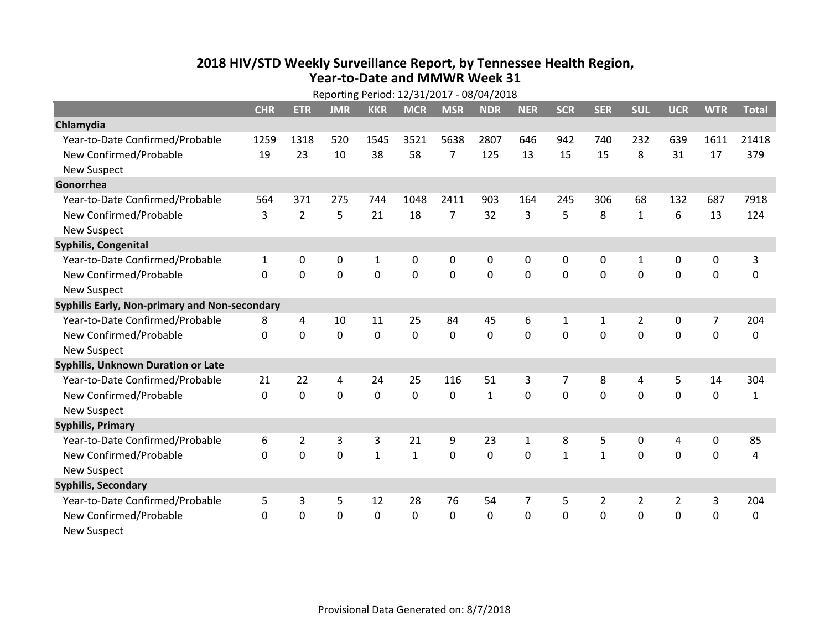## **2018 HIV /STD Weekl y Surveillance Report, b y Tennessee Health Region, Year‐to‐Date and MMWR Week 31**

|                                               | Reporting Period: 12/31/2017 - 08/04/2018 |                |                |              |              |              |                |              |                |                |                |                  |              |              |
|-----------------------------------------------|-------------------------------------------|----------------|----------------|--------------|--------------|--------------|----------------|--------------|----------------|----------------|----------------|------------------|--------------|--------------|
|                                               | <b>CHR</b>                                | <b>ETR</b>     | <b>JMR</b>     | <b>KKR</b>   | <b>MCR</b>   | <b>MSR</b>   | <b>NDR</b>     | <b>NER</b>   | <b>SCR</b>     | <b>SER</b>     | <b>SUL</b>     | <b>UCR</b>       | <b>WTR</b>   | <b>Total</b> |
| Chlamydia                                     |                                           |                |                |              |              |              |                |              |                |                |                |                  |              |              |
| Year-to-Date Confirmed/Probable               | 1259                                      | 1318           | 520            | 1545         | 3521         | 5638         | 2807           | 646          | 942            | 740            | 232            | 639              | 1611         | 21418        |
| New Confirmed/Probable                        | 19                                        | 23             | 10             | 38           | 58           | 7            | 125            | 13           | 15             | 15             | 8              | 31               | 17           | 379          |
| <b>New Suspect</b>                            |                                           |                |                |              |              |              |                |              |                |                |                |                  |              |              |
| Gonorrhea                                     |                                           |                |                |              |              |              |                |              |                |                |                |                  |              |              |
| Year-to-Date Confirmed/Probable               | 564                                       | 371            | 275            | 744          | 1048         | 2411         | 903            | 164          | 245            | 306            | 68             | 132              | 687          | 7918         |
| New Confirmed/Probable                        | 3                                         | $\overline{2}$ | 5              | 21           | 18           | 7            | 32             | 3            | 5              | 8              | $\mathbf{1}$   | 6                | 13           | 124          |
| <b>New Suspect</b>                            |                                           |                |                |              |              |              |                |              |                |                |                |                  |              |              |
| Syphilis, Congenital                          |                                           |                |                |              |              |              |                |              |                |                |                |                  |              |              |
| Year-to-Date Confirmed/Probable               | $\mathbf{1}$                              | 0              | 0              | 1            | 0            | 0            | 0              | 0            | $\Omega$       | 0              | 1              | 0                | 0            | 3            |
| New Confirmed/Probable                        | $\Omega$                                  | $\mathbf{0}$   | $\mathbf 0$    | $\mathbf 0$  | $\mathbf 0$  | $\mathbf 0$  | $\overline{0}$ | 0            | $\mathbf 0$    | $\mathbf{0}$   | $\mathbf{0}$   | $\mathbf 0$      | $\mathbf 0$  | $\mathbf 0$  |
| <b>New Suspect</b>                            |                                           |                |                |              |              |              |                |              |                |                |                |                  |              |              |
| Syphilis Early, Non-primary and Non-secondary |                                           |                |                |              |              |              |                |              |                |                |                |                  |              |              |
| Year-to-Date Confirmed/Probable               | 8                                         | 4              | 10             | 11           | 25           | 84           | 45             | 6            | $\mathbf{1}$   | $\mathbf{1}$   | $\overline{2}$ | 0                | 7            | 204          |
| New Confirmed/Probable                        | $\Omega$                                  | $\mathbf 0$    | $\mathbf 0$    | $\mathbf 0$  | $\mathbf 0$  | $\mathbf 0$  | $\overline{0}$ | $\Omega$     | $\Omega$       | $\Omega$       | $\mathbf{0}$   | $\mathbf 0$      | $\mathbf 0$  | 0            |
| <b>New Suspect</b>                            |                                           |                |                |              |              |              |                |              |                |                |                |                  |              |              |
| <b>Syphilis, Unknown Duration or Late</b>     |                                           |                |                |              |              |              |                |              |                |                |                |                  |              |              |
| Year-to-Date Confirmed/Probable               | 21                                        | 22             | $\overline{4}$ | 24           | 25           | 116          | 51             | 3            | $\overline{7}$ | 8              | $\overline{4}$ | 5                | 14           | 304          |
| New Confirmed/Probable                        | $\Omega$                                  | $\mathbf 0$    | $\mathbf 0$    | $\mathbf 0$  | $\mathbf 0$  | $\mathbf{0}$ | $\mathbf{1}$   | $\Omega$     | $\Omega$       | $\Omega$       | $\Omega$       | $\mathbf 0$      | $\mathbf 0$  | $\mathbf{1}$ |
| <b>New Suspect</b>                            |                                           |                |                |              |              |              |                |              |                |                |                |                  |              |              |
| <b>Syphilis, Primary</b>                      |                                           |                |                |              |              |              |                |              |                |                |                |                  |              |              |
| Year-to-Date Confirmed/Probable               | 6                                         | $\overline{2}$ | 3              | 3            | 21           | 9            | 23             | $\mathbf{1}$ | 8              | 5              | $\mathbf 0$    | 4                | $\mathbf 0$  | 85           |
| New Confirmed/Probable                        | $\Omega$                                  | $\mathbf 0$    | $\mathbf 0$    | $\mathbf{1}$ | $\mathbf{1}$ | 0            | $\mathbf 0$    | 0            | $\mathbf{1}$   | $\mathbf{1}$   | $\mathbf{0}$   | $\mathbf 0$      | $\mathbf 0$  | 4            |
| <b>New Suspect</b>                            |                                           |                |                |              |              |              |                |              |                |                |                |                  |              |              |
| <b>Syphilis, Secondary</b>                    |                                           |                |                |              |              |              |                |              |                |                |                |                  |              |              |
| Year-to-Date Confirmed/Probable               | 5                                         | 3              | 5              | 12           | 28           | 76           | 54             | 7            | 5              | $\overline{2}$ | $\overline{2}$ | $\overline{2}$   | $\mathbf{3}$ | 204          |
| New Confirmed/Probable                        | $\Omega$                                  | 0              | $\mathbf 0$    | $\mathbf 0$  | $\mathbf 0$  | $\mathbf 0$  | $\mathbf 0$    | 0            | $\mathbf 0$    | $\mathbf 0$    | $\mathbf 0$    | $\boldsymbol{0}$ | $\mathbf 0$  | 0            |
| <b>New Suspect</b>                            |                                           |                |                |              |              |              |                |              |                |                |                |                  |              |              |